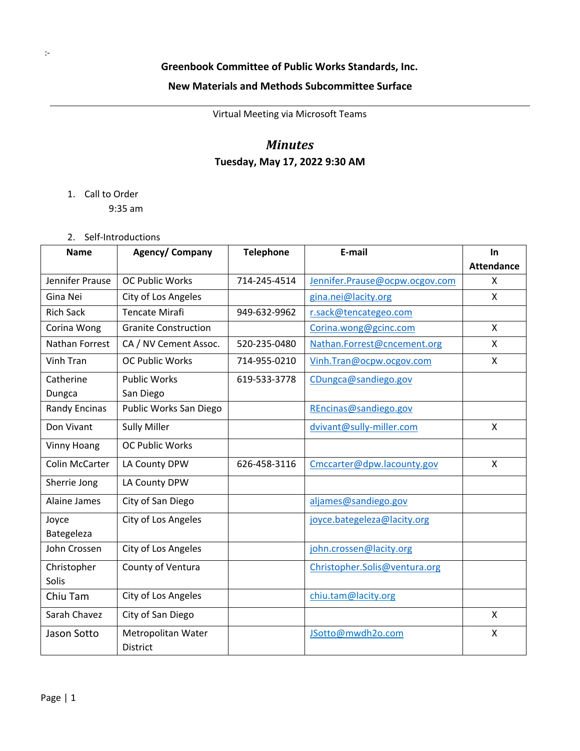### **New Materials and Methods Subcommittee Surface**

Virtual Meeting via Microsoft Teams

## *Minutes* **Tuesday, May 17, 2022 9:30 AM**

#### 1. Call to Order

9:35 am

#### 2. Self-Introductions

| <b>Name</b>          | Agency/ Company             | <b>Telephone</b> | E-mail                         | In                |
|----------------------|-----------------------------|------------------|--------------------------------|-------------------|
|                      |                             |                  |                                | <b>Attendance</b> |
| Jennifer Prause      | <b>OC Public Works</b>      | 714-245-4514     | Jennifer.Prause@ocpw.ocgov.com | X                 |
| Gina Nei             | City of Los Angeles         |                  | gina.nei@lacity.org            | $\mathsf{X}$      |
| <b>Rich Sack</b>     | <b>Tencate Mirafi</b>       | 949-632-9962     | r.sack@tencategeo.com          |                   |
| Corina Wong          | <b>Granite Construction</b> |                  | Corina.wong@gcinc.com          | $\mathsf{x}$      |
| Nathan Forrest       | CA / NV Cement Assoc.       | 520-235-0480     | Nathan.Forrest@cncement.org    | X                 |
| <b>Vinh Tran</b>     | <b>OC Public Works</b>      | 714-955-0210     | Vinh.Tran@ocpw.ocgov.com       | X                 |
| Catherine            | <b>Public Works</b>         | 619-533-3778     | CDungca@sandiego.gov           |                   |
| Dungca               | San Diego                   |                  |                                |                   |
| <b>Randy Encinas</b> | Public Works San Diego      |                  | REncinas@sandiego.gov          |                   |
| Don Vivant           | <b>Sully Miller</b>         |                  | dvivant@sully-miller.com       | X                 |
| <b>Vinny Hoang</b>   | <b>OC Public Works</b>      |                  |                                |                   |
| Colin McCarter       | LA County DPW               | 626-458-3116     | Cmccarter@dpw.lacounty.gov     | $\mathsf{X}$      |
| Sherrie Jong         | LA County DPW               |                  |                                |                   |
| Alaine James         | City of San Diego           |                  | aljames@sandiego.gov           |                   |
| Joyce                | City of Los Angeles         |                  | joyce.bategeleza@lacity.org    |                   |
| Bategeleza           |                             |                  |                                |                   |
| John Crossen         | City of Los Angeles         |                  | john.crossen@lacity.org        |                   |
| Christopher          | County of Ventura           |                  | Christopher.Solis@ventura.org  |                   |
| <b>Solis</b>         |                             |                  |                                |                   |
| Chiu Tam             | City of Los Angeles         |                  | chiu.tam@lacity.org            |                   |
| Sarah Chavez         | City of San Diego           |                  |                                | X                 |
| Jason Sotto          | Metropolitan Water          |                  | JSotto@mwdh2o.com              | X                 |
|                      | <b>District</b>             |                  |                                |                   |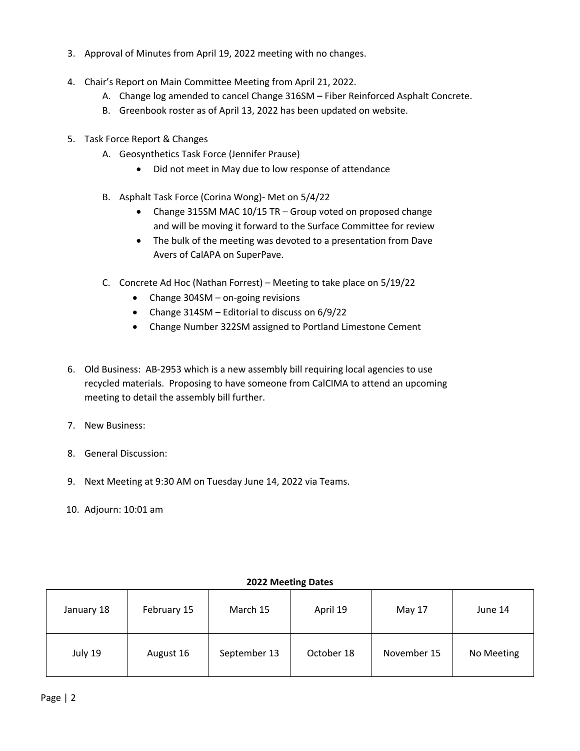- 3. Approval of Minutes from April 19, 2022 meeting with no changes.
- 4. Chair's Report on Main Committee Meeting from April 21, 2022.
	- A. Change log amended to cancel Change 316SM Fiber Reinforced Asphalt Concrete.
	- B. Greenbook roster as of April 13, 2022 has been updated on website.
- 5. Task Force Report & Changes
	- A. Geosynthetics Task Force (Jennifer Prause)
		- Did not meet in May due to low response of attendance
	- B. Asphalt Task Force (Corina Wong)- Met on 5/4/22
		- Change 315SM MAC 10/15 TR Group voted on proposed change and will be moving it forward to the Surface Committee for review
		- The bulk of the meeting was devoted to a presentation from Dave Avers of CalAPA on SuperPave.
	- C. Concrete Ad Hoc (Nathan Forrest) Meeting to take place on 5/19/22
		- Change 304SM on-going revisions
		- Change 314SM Editorial to discuss on 6/9/22
		- Change Number 322SM assigned to Portland Limestone Cement
- 6. Old Business: AB-2953 which is a new assembly bill requiring local agencies to use recycled materials. Proposing to have someone from CalCIMA to attend an upcoming meeting to detail the assembly bill further.
- 7. New Business:
- 8. General Discussion:
- 9. Next Meeting at 9:30 AM on Tuesday June 14, 2022 via Teams.
- 10. Adjourn: 10:01 am

| January 18 | February 15 | March 15     | April 19   | May 17      | June 14    |
|------------|-------------|--------------|------------|-------------|------------|
| July 19    | August 16   | September 13 | October 18 | November 15 | No Meeting |

#### **2022 Meeting Dates**